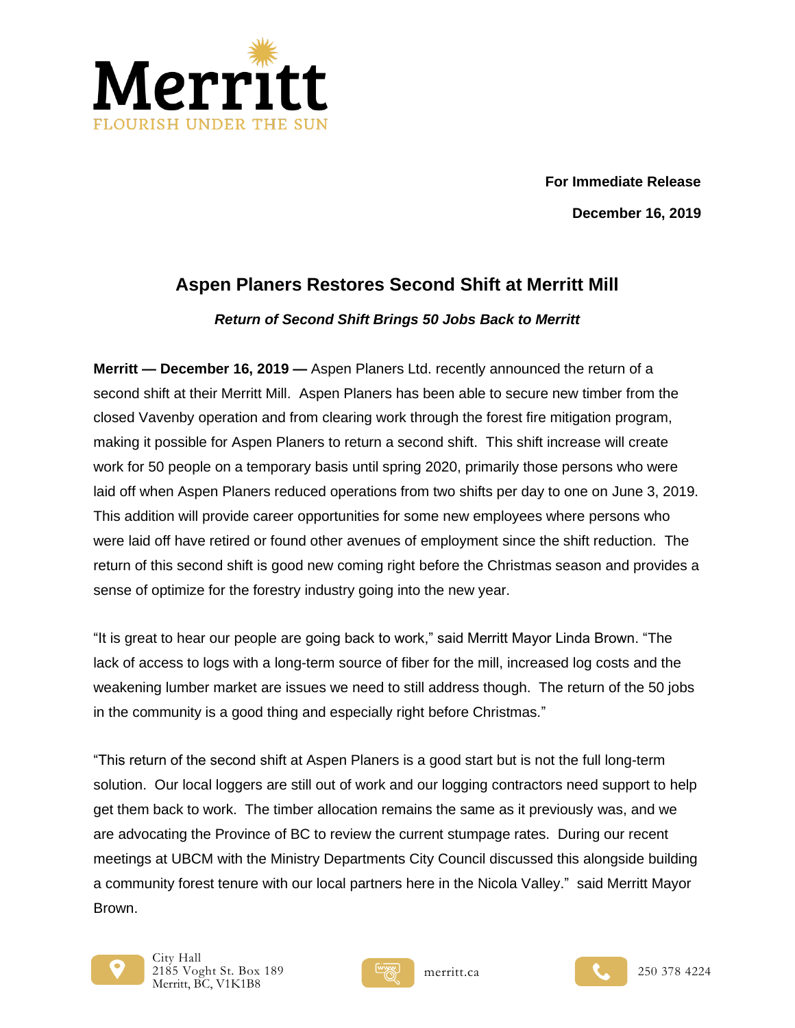

 **For Immediate Release December 16, 2019**

## **Aspen Planers Restores Second Shift at Merritt Mill**

## *Return of Second Shift Brings 50 Jobs Back to Merritt*

**Merritt — December 16, 2019 —** Aspen Planers Ltd. recently announced the return of a second shift at their Merritt Mill. Aspen Planers has been able to secure new timber from the closed Vavenby operation and from clearing work through the forest fire mitigation program, making it possible for Aspen Planers to return a second shift. This shift increase will create work for 50 people on a temporary basis until spring 2020, primarily those persons who were laid off when Aspen Planers reduced operations from two shifts per day to one on June 3, 2019. This addition will provide career opportunities for some new employees where persons who were laid off have retired or found other avenues of employment since the shift reduction. The return of this second shift is good new coming right before the Christmas season and provides a sense of optimize for the forestry industry going into the new year.

"It is great to hear our people are going back to work," said Merritt Mayor Linda Brown. "The lack of access to logs with a long-term source of fiber for the mill, increased log costs and the weakening lumber market are issues we need to still address though. The return of the 50 jobs in the community is a good thing and especially right before Christmas."

"This return of the second shift at Aspen Planers is a good start but is not the full long-term solution. Our local loggers are still out of work and our logging contractors need support to help get them back to work. The timber allocation remains the same as it previously was, and we are advocating the Province of BC to review the current stumpage rates. During our recent meetings at UBCM with the Ministry Departments City Council discussed this alongside building a community forest tenure with our local partners here in the Nicola Valley." said Merritt Mayor Brown.





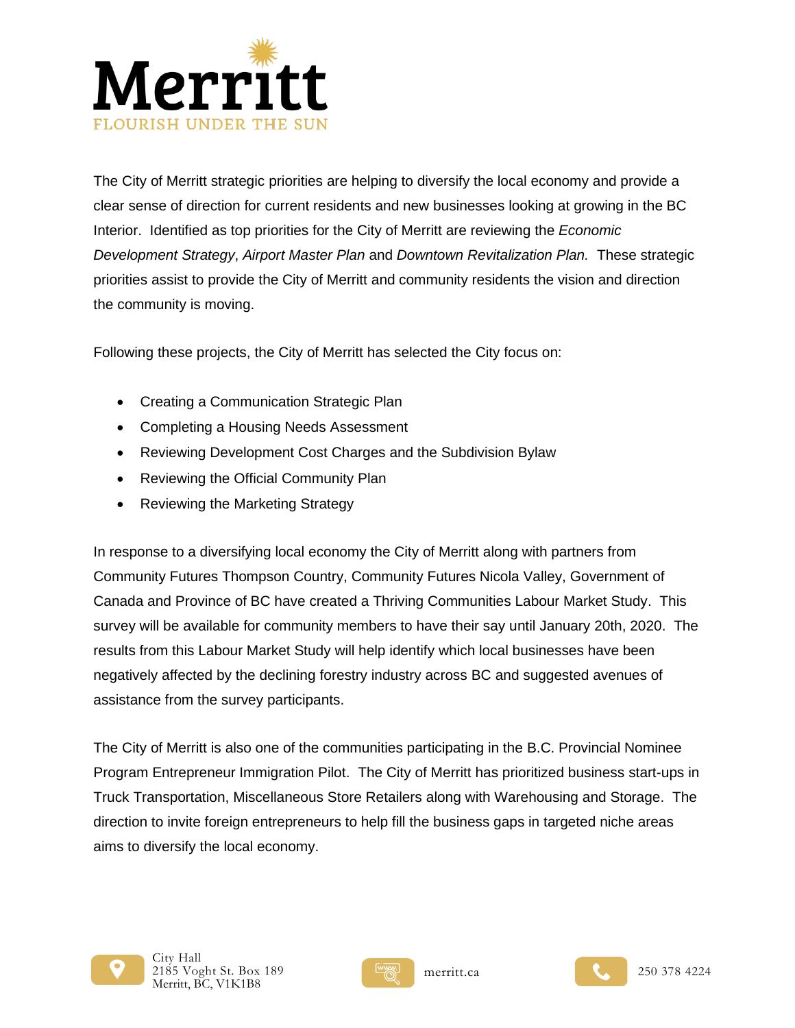

The City of Merritt strategic priorities are helping to diversify the local economy and provide a clear sense of direction for current residents and new businesses looking at growing in the BC Interior. Identified as top priorities for the City of Merritt are reviewing the *Economic Development Strategy*, *Airport Master Plan* and *Downtown Revitalization Plan.* These strategic priorities assist to provide the City of Merritt and community residents the vision and direction the community is moving.

Following these projects, the City of Merritt has selected the City focus on:

- Creating a Communication Strategic Plan
- Completing a Housing Needs Assessment
- Reviewing Development Cost Charges and the Subdivision Bylaw
- Reviewing the Official Community Plan
- Reviewing the Marketing Strategy

In response to a diversifying local economy the City of Merritt along with partners from Community Futures Thompson Country, Community Futures Nicola Valley, Government of Canada and Province of BC have created a Thriving Communities Labour Market Study. This survey will be available for community members to have their say until January 20th, 2020. The results from this Labour Market Study will help identify which local businesses have been negatively affected by the declining forestry industry across BC and suggested avenues of assistance from the survey participants.

The City of Merritt is also one of the communities participating in the B.C. Provincial Nominee Program Entrepreneur Immigration Pilot. The City of Merritt has prioritized business start-ups in Truck Transportation, Miscellaneous Store Retailers along with Warehousing and Storage. The direction to invite foreign entrepreneurs to help fill the business gaps in targeted niche areas aims to diversify the local economy.